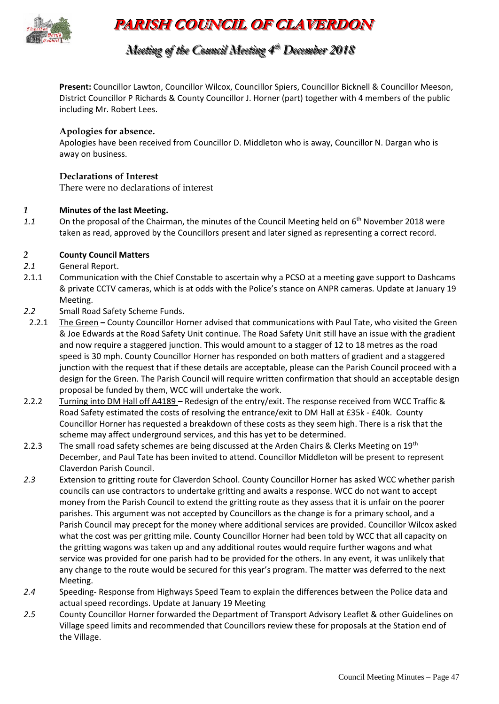

# **PARISH COUNCIL OF CLAVERDON**

## *Meeting of the Council Meeting 4 t thh December 2018*

**Present:** Councillor Lawton, Councillor Wilcox, Councillor Spiers, Councillor Bicknell & Councillor Meeson, District Councillor P Richards & County Councillor J. Horner (part) together with 4 members of the public including Mr. Robert Lees.

#### **Apologies for absence.**

Apologies have been received from Councillor D. Middleton who is away, Councillor N. Dargan who is away on business.

#### **Declarations of Interest**

There were no declarations of interest

#### *1* **Minutes of the last Meeting.**

1.1 On the proposal of the Chairman, the minutes of the Council Meeting held on 6<sup>th</sup> November 2018 were taken as read, approved by the Councillors present and later signed as representing a correct record.

#### *2* **County Council Matters**

- *2.1* General Report.
- 2.1.1 Communication with the Chief Constable to ascertain why a PCSO at a meeting gave support to Dashcams & private CCTV cameras, which is at odds with the Police's stance on ANPR cameras. Update at January 19 Meeting.
- *2.2* Small Road Safety Scheme Funds.
- 2.2.1 The Green **–** County Councillor Horner advised that communications with Paul Tate, who visited the Green & Joe Edwards at the Road Safety Unit continue. The Road Safety Unit still have an issue with the gradient and now require a staggered junction. This would amount to a stagger of 12 to 18 metres as the road speed is 30 mph. County Councillor Horner has responded on both matters of gradient and a staggered junction with the request that if these details are acceptable, please can the Parish Council proceed with a design for the Green. The Parish Council will require written confirmation that should an acceptable design proposal be funded by them, WCC will undertake the work.
- 2.2.2 Turning into DM Hall off A4189 Redesign of the entry/exit. The response received from WCC Traffic & Road Safety estimated the costs of resolving the entrance/exit to DM Hall at £35k - £40k. County Councillor Horner has requested a breakdown of these costs as they seem high. There is a risk that the scheme may affect underground services, and this has yet to be determined.
- 2.2.3 The small road safety schemes are being discussed at the Arden Chairs & Clerks Meeting on 19<sup>th</sup> December, and Paul Tate has been invited to attend. Councillor Middleton will be present to represent Claverdon Parish Council.
- *2.3* Extension to gritting route for Claverdon School. County Councillor Horner has asked WCC whether parish councils can use contractors to undertake gritting and awaits a response. WCC do not want to accept money from the Parish Council to extend the gritting route as they assess that it is unfair on the poorer parishes. This argument was not accepted by Councillors as the change is for a primary school, and a Parish Council may precept for the money where additional services are provided. Councillor Wilcox asked what the cost was per gritting mile. County Councillor Horner had been told by WCC that all capacity on the gritting wagons was taken up and any additional routes would require further wagons and what service was provided for one parish had to be provided for the others. In any event, it was unlikely that any change to the route would be secured for this year's program. The matter was deferred to the next Meeting.
- *2.4* Speeding- Response from Highways Speed Team to explain the differences between the Police data and actual speed recordings. Update at January 19 Meeting
- *2.5* County Councillor Horner forwarded the Department of Transport Advisory Leaflet & other Guidelines on Village speed limits and recommended that Councillors review these for proposals at the Station end of the Village.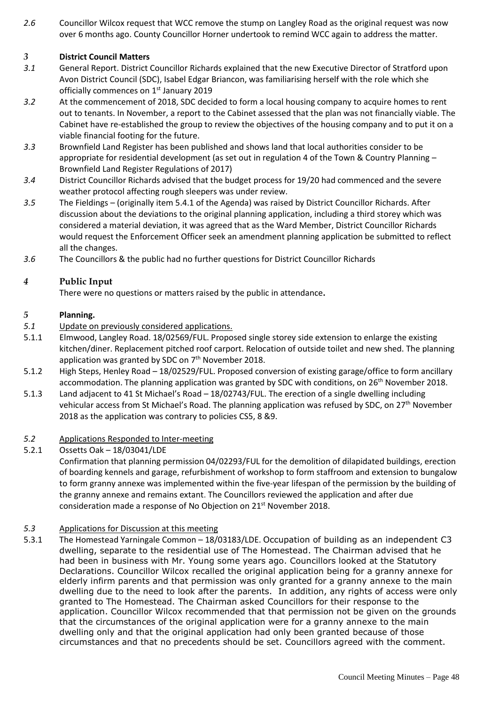*2.6* Councillor Wilcox request that WCC remove the stump on Langley Road as the original request was now over 6 months ago. County Councillor Horner undertook to remind WCC again to address the matter.

#### *3* **District Council Matters**

- *3.1* General Report. District Councillor Richards explained that the new Executive Director of Stratford upon Avon District Council (SDC), Isabel Edgar Briancon, was familiarising herself with the role which she officially commences on 1<sup>st</sup> January 2019
- *3.2* At the commencement of 2018, SDC decided to form a local housing company to acquire homes to rent out to tenants. In November, a report to the Cabinet assessed that the plan was not financially viable. The Cabinet have re-established the group to review the objectives of the housing company and to put it on a viable financial footing for the future.
- *3.3* Brownfield Land Register has been published and shows land that local authorities consider to be appropriate for residential development (as set out in regulation 4 of the Town & Country Planning – Brownfield Land Register Regulations of 2017)
- *3.4* District Councillor Richards advised that the budget process for 19/20 had commenced and the severe weather protocol affecting rough sleepers was under review.
- *3.5* The Fieldings (originally item 5.4.1 of the Agenda) was raised by District Councillor Richards. After discussion about the deviations to the original planning application, including a third storey which was considered a material deviation, it was agreed that as the Ward Member, District Councillor Richards would request the Enforcement Officer seek an amendment planning application be submitted to reflect all the changes.
- *3.6* The Councillors & the public had no further questions for District Councillor Richards

#### *4* **Public Input**

There were no questions or matters raised by the public in attendance**.** 

#### *5* **Planning.**

- *5.1* Update on previously considered applications.
- 5.1.1 Elmwood, Langley Road. 18/02569/FUL. Proposed single storey side extension to enlarge the existing kitchen/diner. Replacement pitched roof carport. Relocation of outside toilet and new shed. The planning application was granted by SDC on 7<sup>th</sup> November 2018.
- 5.1.2 High Steps, Henley Road 18/02529/FUL. Proposed conversion of existing garage/office to form ancillary accommodation. The planning application was granted by SDC with conditions, on  $26<sup>th</sup>$  November 2018.
- 5.1.3 Land adjacent to 41 St Michael's Road 18/02743/FUL. The erection of a single dwelling including vehicular access from St Michael's Road. The planning application was refused by SDC, on 27<sup>th</sup> November 2018 as the application was contrary to policies CS5, 8 &9.

#### *5.2* Applications Responded to Inter-meeting

5.2.1 Ossetts Oak – 18/03041/LDE

Confirmation that planning permission 04/02293/FUL for the demolition of dilapidated buildings, erection of boarding kennels and garage, refurbishment of workshop to form staffroom and extension to bungalow to form granny annexe was implemented within the five-year lifespan of the permission by the building of the granny annexe and remains extant. The Councillors reviewed the application and after due consideration made a response of No Objection on 21st November 2018.

#### *5.3* Applications for Discussion at this meeting

5.3.1 The Homestead Yarningale Common – 18/03183/LDE. Occupation of building as an independent C3 dwelling, separate to the residential use of The Homestead. The Chairman advised that he had been in business with Mr. Young some years ago. Councillors looked at the Statutory Declarations. Councillor Wilcox recalled the original application being for a granny annexe for elderly infirm parents and that permission was only granted for a granny annexe to the main dwelling due to the need to look after the parents. In addition, any rights of access were only granted to The Homestead. The Chairman asked Councillors for their response to the application. Councillor Wilcox recommended that that permission not be given on the grounds that the circumstances of the original application were for a granny annexe to the main dwelling only and that the original application had only been granted because of those circumstances and that no precedents should be set. Councillors agreed with the comment.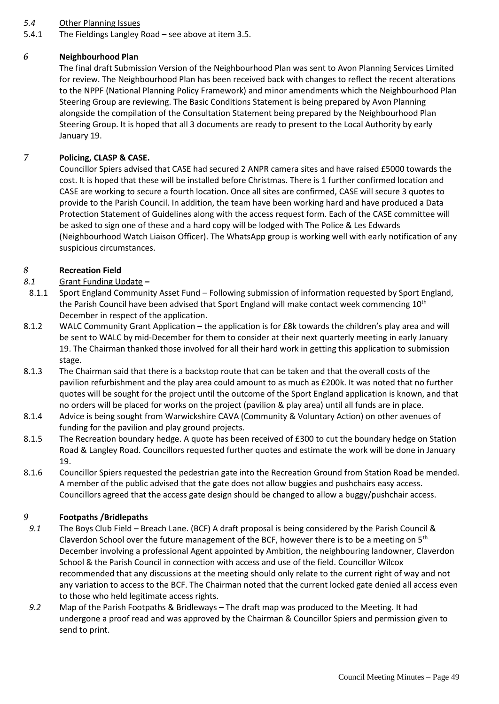#### *5.4* Other Planning Issues

5.4.1 The Fieldings Langley Road – see above at item 3.5.

#### *6* **Neighbourhood Plan**

The final draft Submission Version of the Neighbourhood Plan was sent to Avon Planning Services Limited for review. The Neighbourhood Plan has been received back with changes to reflect the recent alterations to the NPPF (National Planning Policy Framework) and minor amendments which the Neighbourhood Plan Steering Group are reviewing. The Basic Conditions Statement is being prepared by Avon Planning alongside the compilation of the Consultation Statement being prepared by the Neighbourhood Plan Steering Group. It is hoped that all 3 documents are ready to present to the Local Authority by early January 19.

#### *7* **Policing, CLASP & CASE.**

Councillor Spiers advised that CASE had secured 2 ANPR camera sites and have raised £5000 towards the cost. It is hoped that these will be installed before Christmas. There is 1 further confirmed location and CASE are working to secure a fourth location. Once all sites are confirmed, CASE will secure 3 quotes to provide to the Parish Council. In addition, the team have been working hard and have produced a Data Protection Statement of Guidelines along with the access request form. Each of the CASE committee will be asked to sign one of these and a hard copy will be lodged with The Police & Les Edwards (Neighbourhood Watch Liaison Officer). The WhatsApp group is working well with early notification of any suspicious circumstances.

#### *8* **Recreation Field**

#### *8.1* Grant Funding Update **–**

- 8.1.1 Sport England Community Asset Fund Following submission of information requested by Sport England, the Parish Council have been advised that Sport England will make contact week commencing 10<sup>th</sup> December in respect of the application.
- 8.1.2 WALC Community Grant Application the application is for £8k towards the children's play area and will be sent to WALC by mid-December for them to consider at their next quarterly meeting in early January 19. The Chairman thanked those involved for all their hard work in getting this application to submission stage.
- 8.1.3 The Chairman said that there is a backstop route that can be taken and that the overall costs of the pavilion refurbishment and the play area could amount to as much as £200k. It was noted that no further quotes will be sought for the project until the outcome of the Sport England application is known, and that no orders will be placed for works on the project (pavilion & play area) until all funds are in place.
- 8.1.4 Advice is being sought from Warwickshire CAVA (Community & Voluntary Action) on other avenues of funding for the pavilion and play ground projects.
- 8.1.5 The Recreation boundary hedge. A quote has been received of £300 to cut the boundary hedge on Station Road & Langley Road. Councillors requested further quotes and estimate the work will be done in January 19.
- 8.1.6 Councillor Spiers requested the pedestrian gate into the Recreation Ground from Station Road be mended. A member of the public advised that the gate does not allow buggies and pushchairs easy access. Councillors agreed that the access gate design should be changed to allow a buggy/pushchair access.

#### *9* **Footpaths /Bridlepaths**

- *9.1* The Boys Club Field Breach Lane. (BCF) A draft proposal is being considered by the Parish Council & Claverdon School over the future management of the BCF, however there is to be a meeting on  $5<sup>th</sup>$ December involving a professional Agent appointed by Ambition, the neighbouring landowner, Claverdon School & the Parish Council in connection with access and use of the field. Councillor Wilcox recommended that any discussions at the meeting should only relate to the current right of way and not any variation to access to the BCF. The Chairman noted that the current locked gate denied all access even to those who held legitimate access rights.
- *9.2* Map of the Parish Footpaths & Bridleways The draft map was produced to the Meeting. It had undergone a proof read and was approved by the Chairman & Councillor Spiers and permission given to send to print.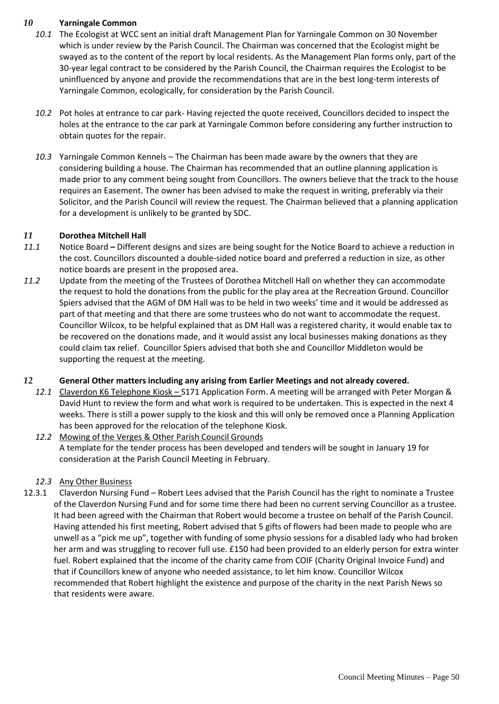#### *10* **Yarningale Common**

- *10.1* The Ecologist at WCC sent an initial draft Management Plan for Yarningale Common on 30 November which is under review by the Parish Council. The Chairman was concerned that the Ecologist might be swayed as to the content of the report by local residents. As the Management Plan forms only, part of the 30-year legal contract to be considered by the Parish Council, the Chairman requires the Ecologist to be uninfluenced by anyone and provide the recommendations that are in the best long-term interests of Yarningale Common, ecologically, for consideration by the Parish Council.
- *10.2* Pot holes at entrance to car park- Having rejected the quote received, Councillors decided to inspect the holes at the entrance to the car park at Yarningale Common before considering any further instruction to obtain quotes for the repair.
- *10.3* Yarningale Common Kennels The Chairman has been made aware by the owners that they are considering building a house. The Chairman has recommended that an outline planning application is made prior to any comment being sought from Councillors. The owners believe that the track to the house requires an Easement. The owner has been advised to make the request in writing, preferably via their Solicitor, and the Parish Council will review the request. The Chairman believed that a planning application for a development is unlikely to be granted by SDC.

#### *11* **Dorothea Mitchell Hall**

- *11.1* Notice Board **–** Different designs and sizes are being sought for the Notice Board to achieve a reduction in the cost. Councillors discounted a double-sided notice board and preferred a reduction in size, as other notice boards are present in the proposed area.
- *11.2* Update from the meeting of the Trustees of Dorothea Mitchell Hall on whether they can accommodate the request to hold the donations from the public for the play area at the Recreation Ground. Councillor Spiers advised that the AGM of DM Hall was to be held in two weeks' time and it would be addressed as part of that meeting and that there are some trustees who do not want to accommodate the request. Councillor Wilcox, to be helpful explained that as DM Hall was a registered charity, it would enable tax to be recovered on the donations made, and it would assist any local businesses making donations as they could claim tax relief. Councillor Spiers advised that both she and Councillor Middleton would be supporting the request at the meeting.

#### *12* **General Other matters including any arising from Earlier Meetings and not already covered.**

*12.1* Claverdon K6 Telephone Kiosk – S171 Application Form. A meeting will be arranged with Peter Morgan & David Hunt to review the form and what work is required to be undertaken. This is expected in the next 4 weeks. There is still a power supply to the kiosk and this will only be removed once a Planning Application has been approved for the relocation of the telephone Kiosk.

## *12.2* Mowing of the Verges & Other Parish Council Grounds A template for the tender process has been developed and tenders will be sought in January 19 for consideration at the Parish Council Meeting in February.

#### *12.3* Any Other Business

12.3.1 Claverdon Nursing Fund – Robert Lees advised that the Parish Council has the right to nominate a Trustee of the Claverdon Nursing Fund and for some time there had been no current serving Councillor as a trustee. It had been agreed with the Chairman that Robert would become a trustee on behalf of the Parish Council. Having attended his first meeting, Robert advised that 5 gifts of flowers had been made to people who are unwell as a "pick me up", together with funding of some physio sessions for a disabled lady who had broken her arm and was struggling to recover full use. £150 had been provided to an elderly person for extra winter fuel. Robert explained that the income of the charity came from COIF (Charity Original Invoice Fund) and that if Councillors knew of anyone who needed assistance, to let him know. Councillor Wilcox recommended that Robert highlight the existence and purpose of the charity in the next Parish News so that residents were aware.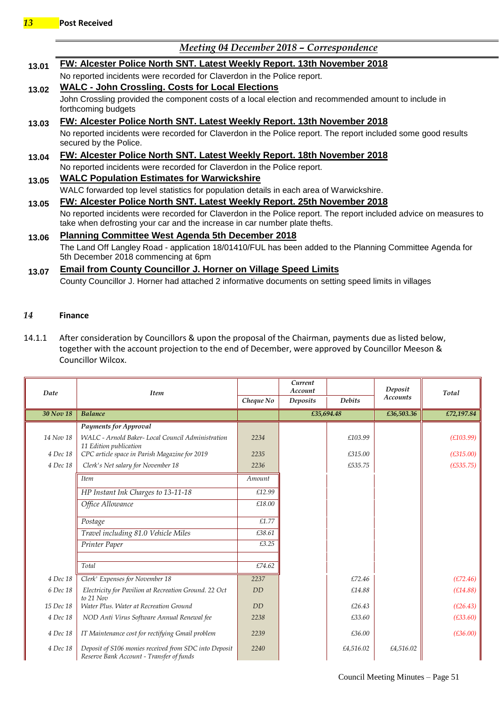## *Meeting 04 December 2018 – Correspondence*

| 13.01 | FW: Alcester Police North SNT. Latest Weekly Report. 13th November 2018                                                                                                                         |  |  |  |  |  |  |
|-------|-------------------------------------------------------------------------------------------------------------------------------------------------------------------------------------------------|--|--|--|--|--|--|
|       | No reported incidents were recorded for Claverdon in the Police report.                                                                                                                         |  |  |  |  |  |  |
| 13.02 | <b>WALC - John Crossling. Costs for Local Elections</b>                                                                                                                                         |  |  |  |  |  |  |
|       | John Crossling provided the component costs of a local election and recommended amount to include in<br>forthcoming budgets                                                                     |  |  |  |  |  |  |
|       | FW: Alcester Police North SNT. Latest Weekly Report. 13th November 2018                                                                                                                         |  |  |  |  |  |  |
|       | No reported incidents were recorded for Claverdon in the Police report. The report included some good results<br>secured by the Police.                                                         |  |  |  |  |  |  |
|       | FW: Alcester Police North SNT. Latest Weekly Report. 18th November 2018                                                                                                                         |  |  |  |  |  |  |
|       | No reported incidents were recorded for Claverdon in the Police report.                                                                                                                         |  |  |  |  |  |  |
|       | <b>WALC Population Estimates for Warwickshire</b>                                                                                                                                               |  |  |  |  |  |  |
|       | WALC forwarded top level statistics for population details in each area of Warwickshire.                                                                                                        |  |  |  |  |  |  |
|       | FW: Alcester Police North SNT. Latest Weekly Report. 25th November 2018                                                                                                                         |  |  |  |  |  |  |
|       | No reported incidents were recorded for Claverdon in the Police report. The report included advice on measures to<br>take when defrosting your car and the increase in car number plate thefts. |  |  |  |  |  |  |
|       | <b>Planning Committee West Agenda 5th December 2018</b>                                                                                                                                         |  |  |  |  |  |  |
|       | The Land Off Langley Road - application 18/01410/FUL has been added to the Planning Committee Agenda for<br>5th December 2018 commencing at 6pm                                                 |  |  |  |  |  |  |
|       | <b>Email from County Councillor J. Horner on Village Speed Limits</b>                                                                                                                           |  |  |  |  |  |  |
| 13.07 | County Councillor J. Horner had attached 2 informative documents on setting speed limits in villages                                                                                            |  |  |  |  |  |  |

#### *14* **Finance**

14.1.1 After consideration by Councillors & upon the proposal of the Chairman, payments due as listed below, together with the account projection to the end of December, were approved by Councillor Meeson & Councillor Wilcox.

|           |                                                                                                   |           | Current<br>Account |               | Deposit         |            |
|-----------|---------------------------------------------------------------------------------------------------|-----------|--------------------|---------------|-----------------|------------|
| Date      | <b>Item</b>                                                                                       | Cheque No | Deposits           | <b>Debits</b> | <b>Accounts</b> | Total      |
| 30 Nov 18 | <b>Balance</b>                                                                                    |           | £35,694.48         |               | £36,503.36      | £72,197.84 |
|           | <b>Payments for Approval</b>                                                                      |           |                    |               |                 |            |
| 14 Nov 18 | WALC - Arnold Baker- Local Council Administration<br>11 Edition publication                       | 2234      |                    | £103.99       |                 | (E103.99)  |
| 4 Dec 18  | CPC article space in Parish Magazine for 2019                                                     | 2235      |                    | £315.00       |                 | (E315.00)  |
| 4 Dec 18  | Clerk's Net salary for November 18                                                                | 2236      |                    | £535.75       |                 | (E535.75)  |
|           | <b>Item</b>                                                                                       | Amount    |                    |               |                 |            |
|           | HP Instant Ink Charges to 13-11-18                                                                | £12.99    |                    |               |                 |            |
|           | Office Allowance                                                                                  | £18.00    |                    |               |                 |            |
|           | Postage                                                                                           | £1.77     |                    |               |                 |            |
|           | Travel including 81.0 Vehicle Miles                                                               | £38.61    |                    |               |                 |            |
|           | Printer Paper                                                                                     | £3.25     |                    |               |                 |            |
|           |                                                                                                   |           |                    |               |                 |            |
|           | Total                                                                                             | £74.62    |                    |               |                 |            |
| 4 Dec 18  | Clerk' Expenses for November 18                                                                   | 2237      |                    | £72.46        |                 | (E72.46)   |
| 6 Dec 18  | Electricity for Pavilion at Recreation Ground. 22 Oct<br>to 21 Nov                                | <b>DD</b> |                    | £14.88        |                 | (E14.88)   |
| 15 Dec 18 | Water Plus. Water at Recreation Ground                                                            | DD        |                    | £26.43        |                 | (E26.43)   |
| 4 Dec 18  | NOD Anti Virus Software Annual Renewal fee                                                        | 2238      |                    | £33.60        |                 | (E33.60)   |
| 4 Dec 18  | IT Maintenance cost for rectifying Gmail problem                                                  | 2239      |                    | £36.00        |                 | (E36.00)   |
| 4 Dec 18  | Deposit of S106 monies received from SDC into Deposit<br>Reserve Bank Account - Transfer of funds | 2240      |                    | £4,516.02     | £4,516.02       |            |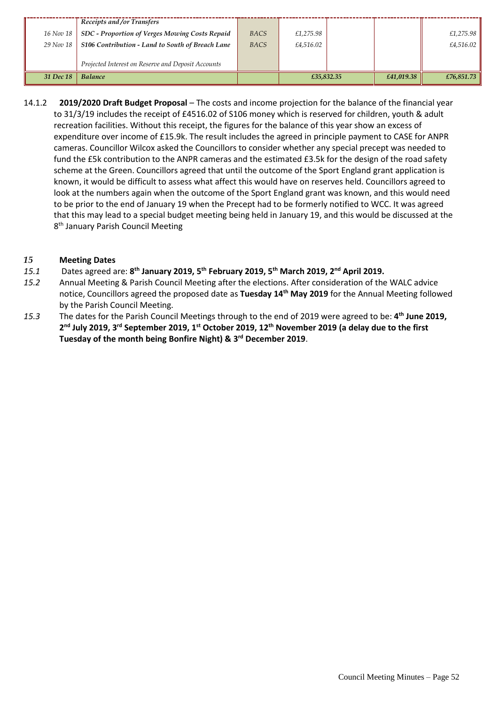|           | Receipts and/or Transfers                          |             |            |            |            |
|-----------|----------------------------------------------------|-------------|------------|------------|------------|
| 16 Nov 18 | SDC - Proportion of Verges Mowing Costs Repaid     | <b>BACS</b> | £1,275.98  |            | £1,275.98  |
| 29 Nov 18 | S106 Contribution - Land to South of Breach Lane   | <b>BACS</b> | £4,516.02  |            | £4,516.02  |
|           | Projected Interest on Reserve and Deposit Accounts |             |            |            |            |
| 31 Dec 18 | <b>Balance</b>                                     |             | £35,832.35 | £41,019.38 | £76,851.73 |

14.1.2 **2019/2020 Draft Budget Proposal** – The costs and income projection for the balance of the financial year to 31/3/19 includes the receipt of £4516.02 of S106 money which is reserved for children, youth & adult recreation facilities. Without this receipt, the figures for the balance of this year show an excess of expenditure over income of £15.9k. The result includes the agreed in principle payment to CASE for ANPR cameras. Councillor Wilcox asked the Councillors to consider whether any special precept was needed to fund the £5k contribution to the ANPR cameras and the estimated £3.5k for the design of the road safety scheme at the Green. Councillors agreed that until the outcome of the Sport England grant application is known, it would be difficult to assess what affect this would have on reserves held. Councillors agreed to look at the numbers again when the outcome of the Sport England grant was known, and this would need to be prior to the end of January 19 when the Precept had to be formerly notified to WCC. It was agreed that this may lead to a special budget meeting being held in January 19, and this would be discussed at the 8<sup>th</sup> January Parish Council Meeting

#### *15* **Meeting Dates**

- 15.1 Dates agreed are: 8<sup>th</sup> January 2019, 5<sup>th</sup> February 2019, 5<sup>th</sup> March 2019, 2<sup>nd</sup> April 2019.
- *15.2* Annual Meeting & Parish Council Meeting after the elections. After consideration of the WALC advice notice, Councillors agreed the proposed date as **Tuesday 14th May 2019** for the Annual Meeting followed by the Parish Council Meeting.
- *15.3* The dates for the Parish Council Meetings through to the end of 2019 were agreed to be: **4 th June 2019, 2 nd July 2019, 3rd September 2019, 1st October 2019, 12th November 2019 (a delay due to the first Tuesday of the month being Bonfire Night) & 3 rd December 2019**.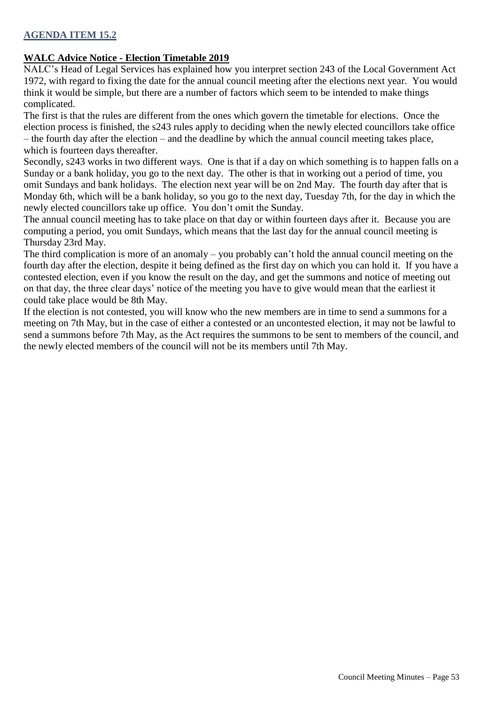### **AGENDA ITEM 15.2**

#### **WALC Advice Notice - Election Timetable 2019**

NALC's Head of Legal Services has explained how you interpret section 243 of the Local Government Act 1972, with regard to fixing the date for the annual council meeting after the elections next year. You would think it would be simple, but there are a number of factors which seem to be intended to make things complicated.

The first is that the rules are different from the ones which govern the timetable for elections. Once the election process is finished, the s243 rules apply to deciding when the newly elected councillors take office – the fourth day after the election – and the deadline by which the annual council meeting takes place, which is fourteen days thereafter.

Secondly, s243 works in two different ways. One is that if a day on which something is to happen falls on a Sunday or a bank holiday, you go to the next day. The other is that in working out a period of time, you omit Sundays and bank holidays. The election next year will be on 2nd May. The fourth day after that is Monday 6th, which will be a bank holiday, so you go to the next day, Tuesday 7th, for the day in which the newly elected councillors take up office. You don't omit the Sunday.

The annual council meeting has to take place on that day or within fourteen days after it. Because you are computing a period, you omit Sundays, which means that the last day for the annual council meeting is Thursday 23rd May.

The third complication is more of an anomaly – you probably can't hold the annual council meeting on the fourth day after the election, despite it being defined as the first day on which you can hold it. If you have a contested election, even if you know the result on the day, and get the summons and notice of meeting out on that day, the three clear days' notice of the meeting you have to give would mean that the earliest it could take place would be 8th May.

If the election is not contested, you will know who the new members are in time to send a summons for a meeting on 7th May, but in the case of either a contested or an uncontested election, it may not be lawful to send a summons before 7th May, as the Act requires the summons to be sent to members of the council, and the newly elected members of the council will not be its members until 7th May.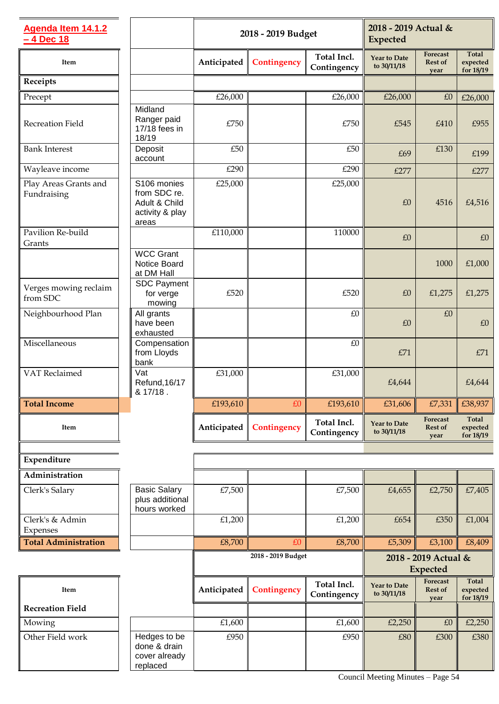| Agenda Item 14.1.2<br>- 4 Dec 18     |                                                                          | 2018 - 2019 Budget |             |                            | 2018 - 2019 Actual &<br><b>Expected</b> |                                    |                                       |
|--------------------------------------|--------------------------------------------------------------------------|--------------------|-------------|----------------------------|-----------------------------------------|------------------------------------|---------------------------------------|
| Item                                 |                                                                          | Anticipated        | Contingency | Total Incl.<br>Contingency | <b>Year to Date</b><br>to 30/11/18      | Forecast<br><b>Rest of</b><br>year | <b>Total</b><br>expected<br>for 18/19 |
| Receipts                             |                                                                          |                    |             |                            |                                         |                                    |                                       |
| Precept                              |                                                                          | £26,000            |             | £26,000                    | £26,000                                 | £0                                 | £26,000                               |
| Recreation Field                     | Midland<br>Ranger paid<br>17/18 fees in<br>18/19                         | £750               |             | £750                       | £545                                    | £410                               | £955                                  |
| <b>Bank Interest</b>                 | Deposit<br>account                                                       | £50                |             | £50                        | £69                                     | £130                               | £199                                  |
| Wayleave income                      |                                                                          | £290               |             | £290                       | £277                                    |                                    | £277                                  |
| Play Areas Grants and<br>Fundraising | S106 monies<br>from SDC re.<br>Adult & Child<br>activity & play<br>areas | £25,000            |             | £25,000                    | £0                                      | 4516                               | £4,516                                |
| Pavilion Re-build<br>Grants          |                                                                          | £110,000           |             | 110000                     | £0                                      |                                    | £0                                    |
|                                      | <b>WCC Grant</b><br>Notice Board<br>at DM Hall                           |                    |             |                            |                                         | 1000                               | £1,000                                |
| Verges mowing reclaim<br>from SDC    | <b>SDC Payment</b><br>for verge<br>mowing                                | £520               |             | £520                       | £0                                      | £1,275                             | £1,275                                |
| Neighbourhood Plan                   | All grants<br>have been<br>exhausted                                     |                    |             | £0                         | £0                                      | £0                                 | £0                                    |
| Miscellaneous                        | Compensation<br>from Lloyds<br>bank                                      |                    |             | $\pounds0$                 | £71                                     |                                    | £71                                   |
| VAT Reclaimed                        | Vat<br>Refund, 16/17<br>& 17/18.                                         | £31,000            |             | £31,000                    | £4,644                                  |                                    | £4,644                                |
| <b>Total Income</b>                  |                                                                          | £193,610           | £0          | £193,610                   | £31,606                                 | £7,331                             | £38,937                               |
| Item                                 |                                                                          | Anticipated        | Contingency | Total Incl.<br>Contingency | <b>Year to Date</b><br>to 30/11/18      | Forecast<br><b>Rest of</b><br>year | <b>Total</b><br>expected<br>for 18/19 |
|                                      |                                                                          |                    |             |                            |                                         |                                    |                                       |
| Expenditure                          |                                                                          |                    |             |                            |                                         |                                    |                                       |
| Administration<br>Clerk's Salary     | <b>Basic Salary</b><br>plus additional                                   | £7,500             |             | £7,500                     | £4,655                                  | £2,750                             | £7,405                                |
| Clerk's & Admin                      | hours worked                                                             | £1,200             |             | £1,200                     | £654                                    | £350                               | £1,004                                |
| Expenses                             |                                                                          |                    |             |                            |                                         |                                    |                                       |
| <b>Total Administration</b>          |                                                                          | £8,700             | £0          | £8,700                     | £5,309                                  | £3,100                             | £8,409                                |
|                                      |                                                                          | 2018 - 2019 Budget |             |                            | 2018 - 2019 Actual &<br><b>Expected</b> |                                    |                                       |
| Item                                 |                                                                          | Anticipated        | Contingency | Total Incl.<br>Contingency | <b>Year to Date</b><br>to 30/11/18      | Forecast<br><b>Rest of</b><br>year | <b>Total</b><br>expected<br>for 18/19 |
| <b>Recreation Field</b>              |                                                                          |                    |             |                            |                                         |                                    |                                       |
| Mowing                               |                                                                          | £1,600             |             | £1,600                     | £2,250                                  | £0                                 | £2,250                                |
| Other Field work                     | Hedges to be<br>done & drain<br>cover already<br>replaced                | £950               |             | £950                       | £80                                     | £300                               | £380                                  |

Council Meeting Minutes – Page 54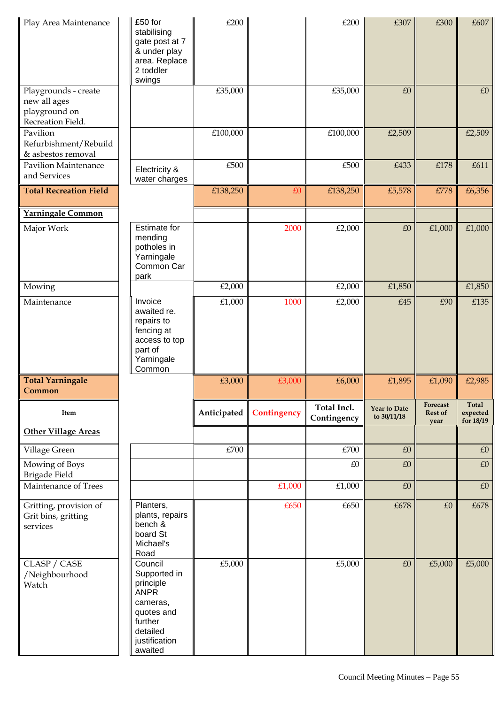| Play Area Maintenance                                                      | £50 for<br>stabilising<br>gate post at 7<br>& under play<br>area. Replace<br>2 toddler<br>swings                                 | £200           |             | £200                       | £307                               | £300                               | £607                                  |
|----------------------------------------------------------------------------|----------------------------------------------------------------------------------------------------------------------------------|----------------|-------------|----------------------------|------------------------------------|------------------------------------|---------------------------------------|
| Playgrounds - create<br>new all ages<br>playground on<br>Recreation Field. |                                                                                                                                  | £35,000        |             | £35,000                    | £0                                 |                                    | £0                                    |
| Pavilion<br>Refurbishment/Rebuild<br>& asbestos removal                    |                                                                                                                                  | £100,000       |             | £100,000                   | £2,509                             |                                    | £2,509                                |
| <b>Pavilion Maintenance</b><br>and Services                                | Electricity &<br>water charges                                                                                                   | £500           |             | £500                       | £433                               | £178                               | £611                                  |
| <b>Total Recreation Field</b>                                              |                                                                                                                                  | £138,250       | £0          | £138,250                   | £5,578                             | £778                               | £6,356                                |
| Yarningale Common                                                          |                                                                                                                                  |                |             |                            |                                    |                                    |                                       |
| Major Work                                                                 | <b>Estimate for</b><br>mending<br>potholes in<br>Yarningale<br>Common Car<br>park                                                |                | 2000        | £2,000                     | $\pounds 0$                        | £1,000                             | £1,000                                |
| Mowing                                                                     |                                                                                                                                  | £2,000         |             | £2,000                     | £1,850                             |                                    | £1,850                                |
| Maintenance                                                                | Invoice<br>awaited re.<br>repairs to<br>fencing at<br>access to top<br>part of<br>Yarningale<br>Common                           | $\pounds1,000$ | 1000        | £2,000                     | £45                                | £90                                | £135                                  |
| <b>Total Yarningale</b><br>Common                                          |                                                                                                                                  | £3,000         | £3,000      | £6,000                     | £1,895                             | £1,090                             | £2,985                                |
| Item                                                                       |                                                                                                                                  | Anticipated    | Contingency | Total Incl.<br>Contingency | <b>Year to Date</b><br>to 30/11/18 | Forecast<br><b>Rest of</b><br>year | <b>Total</b><br>expected<br>for 18/19 |
| <b>Other Village Areas</b>                                                 |                                                                                                                                  |                |             |                            |                                    |                                    |                                       |
| Village Green                                                              |                                                                                                                                  | £700           |             | £700                       | £0                                 |                                    | £0                                    |
| Mowing of Boys<br>Brigade Field                                            |                                                                                                                                  |                |             | £0                         | £0                                 |                                    | £0                                    |
| Maintenance of Trees                                                       |                                                                                                                                  |                | £1,000      | £1,000                     | $\pounds 0$                        |                                    | $\pounds0$                            |
| Gritting, provision of<br>Grit bins, gritting<br>services                  | Planters,<br>plants, repairs<br>bench &<br>board St<br>Michael's<br>Road                                                         |                | £650        | £650                       | £678                               | £0                                 | £678                                  |
| CLASP / CASE<br>/Neighbourhood<br>Watch                                    | Council<br>Supported in<br>principle<br><b>ANPR</b><br>cameras,<br>quotes and<br>further<br>detailed<br>justification<br>awaited | £5,000         |             | £5,000                     | $\pounds 0$                        | £5,000                             | £5,000                                |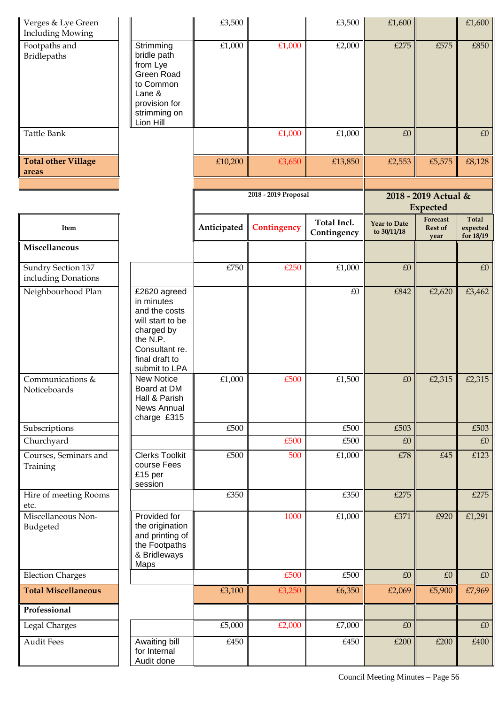| Verges & Lye Green<br><b>Including Mowing</b> |                                                                                                                                                | £3,500      |                      | £3,500                     | £1,600                             |                                         | £1,600                                |
|-----------------------------------------------|------------------------------------------------------------------------------------------------------------------------------------------------|-------------|----------------------|----------------------------|------------------------------------|-----------------------------------------|---------------------------------------|
| Footpaths and<br><b>Bridlepaths</b>           | Strimming<br>bridle path<br>from Lye<br>Green Road<br>to Common<br>Lane &<br>provision for<br>strimming on<br>Lion Hill                        | £1,000      | £1,000               | £2,000                     | £275                               | £575                                    | £850                                  |
| Tattle Bank                                   |                                                                                                                                                |             | £1,000               | £1,000                     | £0                                 |                                         | £0                                    |
| <b>Total other Village</b><br>areas           |                                                                                                                                                | £10,200     | £3,650               | £13,850                    | £2,553                             | £5,575                                  | £8,128                                |
|                                               |                                                                                                                                                |             |                      |                            |                                    |                                         |                                       |
|                                               |                                                                                                                                                |             | 2018 - 2019 Proposal |                            |                                    | 2018 - 2019 Actual &<br><b>Expected</b> |                                       |
| Item                                          |                                                                                                                                                | Anticipated | Contingency          | Total Incl.<br>Contingency | <b>Year to Date</b><br>to 30/11/18 | Forecast<br><b>Rest of</b><br>year      | <b>Total</b><br>expected<br>for 18/19 |
| Miscellaneous                                 |                                                                                                                                                |             |                      |                            |                                    |                                         |                                       |
| Sundry Section 137<br>including Donations     |                                                                                                                                                | £750        | £250                 | £1,000                     | £0                                 |                                         | £0                                    |
| Neighbourhood Plan                            | £2620 agreed<br>in minutes<br>and the costs<br>will start to be<br>charged by<br>the N.P.<br>Consultant re.<br>final draft to<br>submit to LPA |             |                      | £0                         | £842                               | £2,620                                  | £3,462                                |
| Communications &<br>Noticeboards              | <b>New Notice</b><br>Board at DM<br>Hall & Parish<br>News Annual<br>charge £315                                                                | £1,000      | £500                 | £1,500                     | £0                                 | £2,315                                  | £2,315                                |
| Subscriptions                                 |                                                                                                                                                | £500        |                      | £500                       | £503                               |                                         | £503                                  |
| Churchyard                                    |                                                                                                                                                |             | £500                 | £500                       | £0                                 |                                         | £0                                    |
| Courses, Seminars and<br>Training             | <b>Clerks Toolkit</b><br>course Fees<br>£15 per<br>session                                                                                     | £500        | 500                  | £1,000                     | £78                                | £45                                     | £123                                  |
| Hire of meeting Rooms<br>etc.                 |                                                                                                                                                | £350        |                      | £350                       | £275                               |                                         | £275                                  |
| Miscellaneous Non-<br>Budgeted                | Provided for<br>the origination<br>and printing of<br>the Footpaths<br>& Bridleways<br>Maps                                                    |             | 1000                 | £1,000                     | £371                               | £920                                    | £1,291                                |
| <b>Election Charges</b>                       |                                                                                                                                                |             | £500                 | £500                       | £0                                 | £0                                      | £0                                    |
| <b>Total Miscellaneous</b>                    |                                                                                                                                                | £3,100      | £3,250               | £6,350                     | £2,069                             | £5,900                                  | £7,969                                |
| Professional                                  |                                                                                                                                                |             |                      |                            |                                    |                                         |                                       |
| Legal Charges                                 |                                                                                                                                                | £5,000      | £2,000               | £7,000                     | £0                                 |                                         | £0                                    |
| <b>Audit Fees</b>                             | Awaiting bill<br>for Internal<br>Audit done                                                                                                    | £450        |                      | £450                       | £200                               | £200                                    | £400                                  |